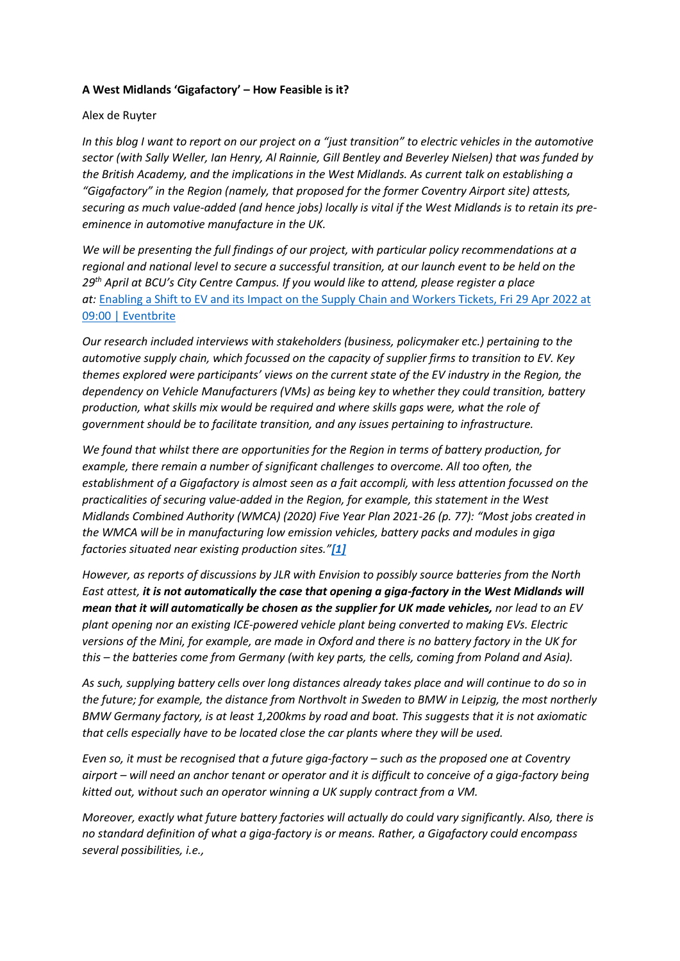## **A West Midlands 'Gigafactory' – How Feasible is it?**

## Alex de Ruyter

*In this blog I want to report on our project on a "just transition" to electric vehicles in the automotive sector (with Sally Weller, Ian Henry, Al Rainnie, Gill Bentley and Beverley Nielsen) that was funded by the British Academy, and the implications in the West Midlands. As current talk on establishing a "Gigafactory" in the Region (namely, that proposed for the former Coventry Airport site) attests, securing as much value-added (and hence jobs) locally is vital if the West Midlands is to retain its preeminence in automotive manufacture in the UK.*

*We will be presenting the full findings of our project, with particular policy recommendations at a regional and national level to secure a successful transition, at our launch event to be held on the 29th April at BCU's City Centre Campus. If you would like to attend, please register a place at:* Enabling a Shift to EV and its [Impact on the Supply Chain and Workers Tickets, Fri 29 Apr 2022 at](https://www.eventbrite.co.uk/e/enabling-a-shift-to-ev-and-its-impact-on-the-supply-chain-and-workers-tickets-297929905367)  [09:00 | Eventbrite](https://www.eventbrite.co.uk/e/enabling-a-shift-to-ev-and-its-impact-on-the-supply-chain-and-workers-tickets-297929905367)

*Our research included interviews with stakeholders (business, policymaker etc.) pertaining to the automotive supply chain, which focussed on the capacity of supplier firms to transition to EV. Key themes explored were participants' views on the current state of the EV industry in the Region, the dependency on Vehicle Manufacturers (VMs) as being key to whether they could transition, battery production, what skills mix would be required and where skills gaps were, what the role of government should be to facilitate transition, and any issues pertaining to infrastructure.*

*We found that whilst there are opportunities for the Region in terms of battery production, for example, there remain a number of significant challenges to overcome. All too often, the establishment of a Gigafactory is almost seen as a fait accompli, with less attention focussed on the practicalities of securing value-added in the Region, for example, this statement in the West Midlands Combined Authority (WMCA) (2020) Five Year Plan 2021-26 (p. 77): "Most jobs created in the WMCA will be in manufacturing low emission vehicles, battery packs and modules in giga factories situated near existing production sites."[\[1\]](https://centreforbrexitstudiesblog.wordpress.com/2022/04/21/a-west-midlands-gigafactory-how-feasible-is-it/#_ftn1)*

*However, as reports of discussions by JLR with Envision to possibly source batteries from the North East attest, it is not automatically the case that opening a giga-factory in the West Midlands will mean that it will automatically be chosen as the supplier for UK made vehicles, nor lead to an EV plant opening nor an existing ICE-powered vehicle plant being converted to making EVs. Electric versions of the Mini, for example, are made in Oxford and there is no battery factory in the UK for this – the batteries come from Germany (with key parts, the cells, coming from Poland and Asia).*

*As such, supplying battery cells over long distances already takes place and will continue to do so in the future; for example, the distance from Northvolt in Sweden to BMW in Leipzig, the most northerly BMW Germany factory, is at least 1,200kms by road and boat. This suggests that it is not axiomatic that cells especially have to be located close the car plants where they will be used.*

*Even so, it must be recognised that a future giga-factory – such as the proposed one at Coventry airport – will need an anchor tenant or operator and it is difficult to conceive of a giga-factory being kitted out, without such an operator winning a UK supply contract from a VM.*

*Moreover, exactly what future battery factories will actually do could vary significantly. Also, there is no standard definition of what a giga-factory is or means. Rather, a Gigafactory could encompass several possibilities, i.e.,*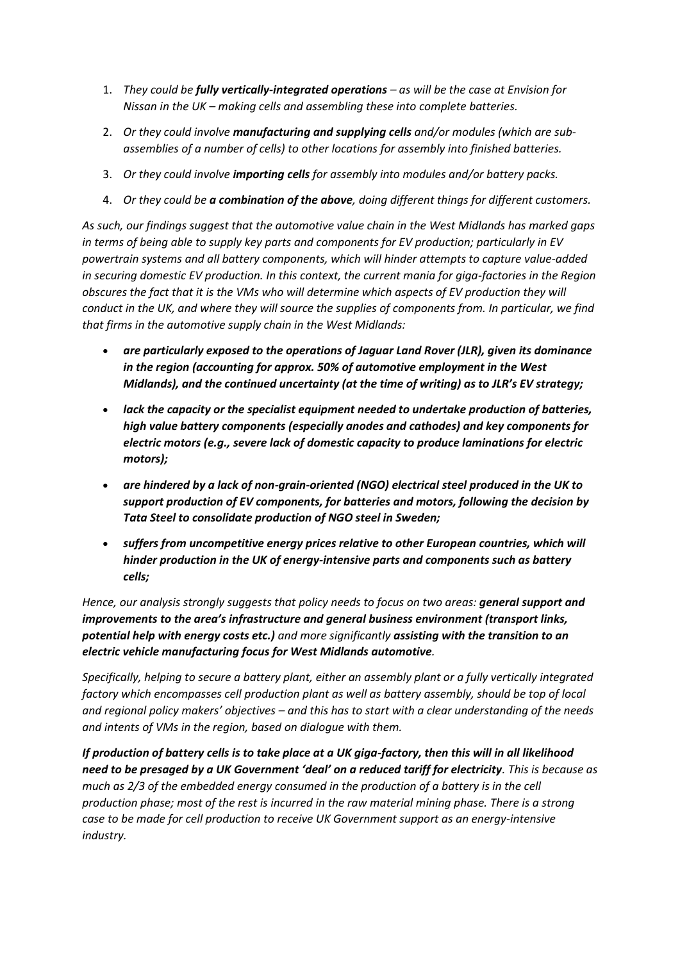- 1. *They could be fully vertically-integrated operations – as will be the case at Envision for Nissan in the UK – making cells and assembling these into complete batteries.*
- 2. *Or they could involve manufacturing and supplying cells and/or modules (which are subassemblies of a number of cells) to other locations for assembly into finished batteries.*
- 3. *Or they could involve importing cells for assembly into modules and/or battery packs.*
- 4. *Or they could be a combination of the above, doing different things for different customers.*

*As such, our findings suggest that the automotive value chain in the West Midlands has marked gaps in terms of being able to supply key parts and components for EV production; particularly in EV powertrain systems and all battery components, which will hinder attempts to capture value-added in securing domestic EV production. In this context, the current mania for giga-factories in the Region obscures the fact that it is the VMs who will determine which aspects of EV production they will conduct in the UK, and where they will source the supplies of components from. In particular, we find that firms in the automotive supply chain in the West Midlands:*

- *are particularly exposed to the operations of Jaguar Land Rover (JLR), given its dominance in the region (accounting for approx. 50% of automotive employment in the West Midlands), and the continued uncertainty (at the time of writing) as to JLR's EV strategy;*
- *lack the capacity or the specialist equipment needed to undertake production of batteries, high value battery components (especially anodes and cathodes) and key components for electric motors (e.g., severe lack of domestic capacity to produce laminations for electric motors);*
- *are hindered by a lack of non-grain-oriented (NGO) electrical steel produced in the UK to support production of EV components, for batteries and motors, following the decision by Tata Steel to consolidate production of NGO steel in Sweden;*
- *suffers from uncompetitive energy prices relative to other European countries, which will hinder production in the UK of energy-intensive parts and components such as battery cells;*

*Hence, our analysis strongly suggests that policy needs to focus on two areas: general support and improvements to the area's infrastructure and general business environment (transport links, potential help with energy costs etc.) and more significantly assisting with the transition to an electric vehicle manufacturing focus for West Midlands automotive.*

*Specifically, helping to secure a battery plant, either an assembly plant or a fully vertically integrated factory which encompasses cell production plant as well as battery assembly, should be top of local and regional policy makers' objectives – and this has to start with a clear understanding of the needs and intents of VMs in the region, based on dialogue with them.*

*If production of battery cells is to take place at a UK giga-factory, then this will in all likelihood need to be presaged by a UK Government 'deal' on a reduced tariff for electricity. This is because as much as 2/3 of the embedded energy consumed in the production of a battery is in the cell production phase; most of the rest is incurred in the raw material mining phase. There is a strong case to be made for cell production to receive UK Government support as an energy-intensive industry.*